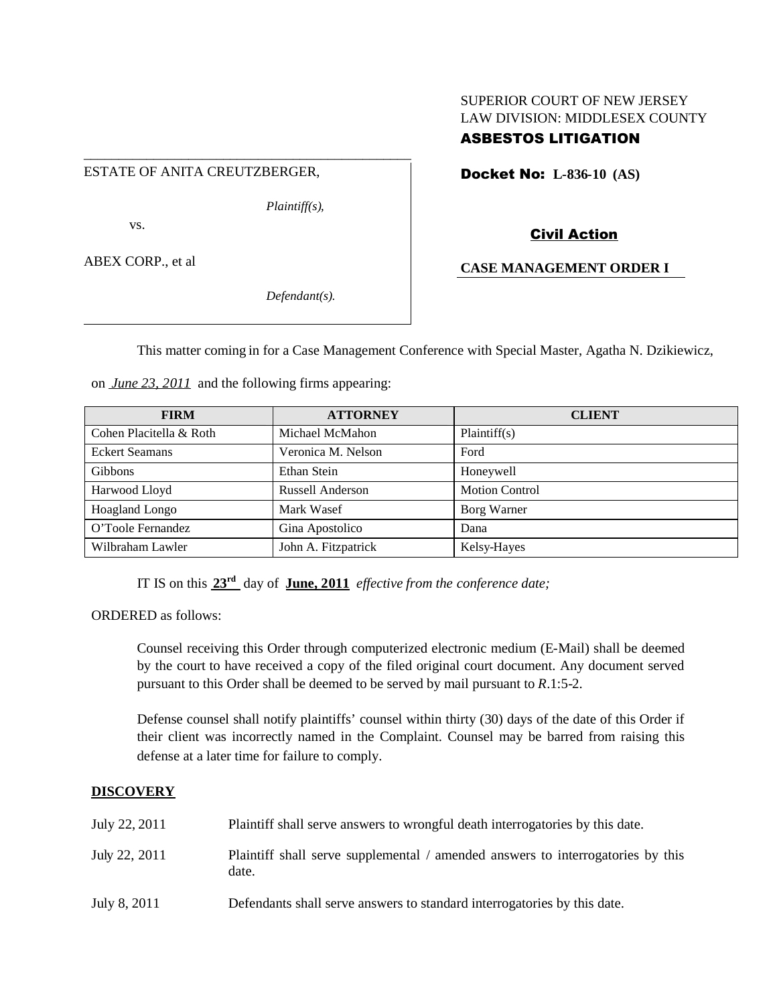# SUPERIOR COURT OF NEW JERSEY LAW DIVISION: MIDDLESEX COUNTY

## ASBESTOS LITIGATION

ESTATE OF ANITA CREUTZBERGER,

\_\_\_\_\_\_\_\_\_\_\_\_\_\_\_\_\_\_\_\_\_\_\_\_\_\_\_\_\_\_\_\_\_\_\_\_\_\_\_\_\_\_\_\_\_\_\_

*Plaintiff(s),*

vs.

ABEX CORP., et al

*Defendant(s).*

Docket No: **L-836-10 (AS)**

Civil Action

**CASE MANAGEMENT ORDER I**

This matter coming in for a Case Management Conference with Special Master, Agatha N. Dzikiewicz,

on *June 23, 2011* and the following firms appearing:

| <b>FIRM</b>             | <b>ATTORNEY</b>         | <b>CLIENT</b>         |
|-------------------------|-------------------------|-----------------------|
| Cohen Placitella & Roth | Michael McMahon         | Plaintiff(s)          |
| <b>Eckert Seamans</b>   | Veronica M. Nelson      | Ford                  |
| <b>Gibbons</b>          | Ethan Stein             | Honeywell             |
| Harwood Lloyd           | <b>Russell Anderson</b> | <b>Motion Control</b> |
| Hoagland Longo          | Mark Wasef              | Borg Warner           |
| O'Toole Fernandez       | Gina Apostolico         | Dana                  |
| Wilbraham Lawler        | John A. Fitzpatrick     | Kelsy-Hayes           |

IT IS on this **23rd** day of **June, 2011** *effective from the conference date;*

ORDERED as follows:

Counsel receiving this Order through computerized electronic medium (E-Mail) shall be deemed by the court to have received a copy of the filed original court document. Any document served pursuant to this Order shall be deemed to be served by mail pursuant to *R*.1:5-2.

Defense counsel shall notify plaintiffs' counsel within thirty (30) days of the date of this Order if their client was incorrectly named in the Complaint. Counsel may be barred from raising this defense at a later time for failure to comply.

## **DISCOVERY**

| July 22, 2011 | Plaintiff shall serve answers to wrongful death interrogatories by this date.            |
|---------------|------------------------------------------------------------------------------------------|
| July 22, 2011 | Plaintiff shall serve supplemental / amended answers to interrogatories by this<br>date. |
| July 8, 2011  | Defendants shall serve answers to standard interrogatories by this date.                 |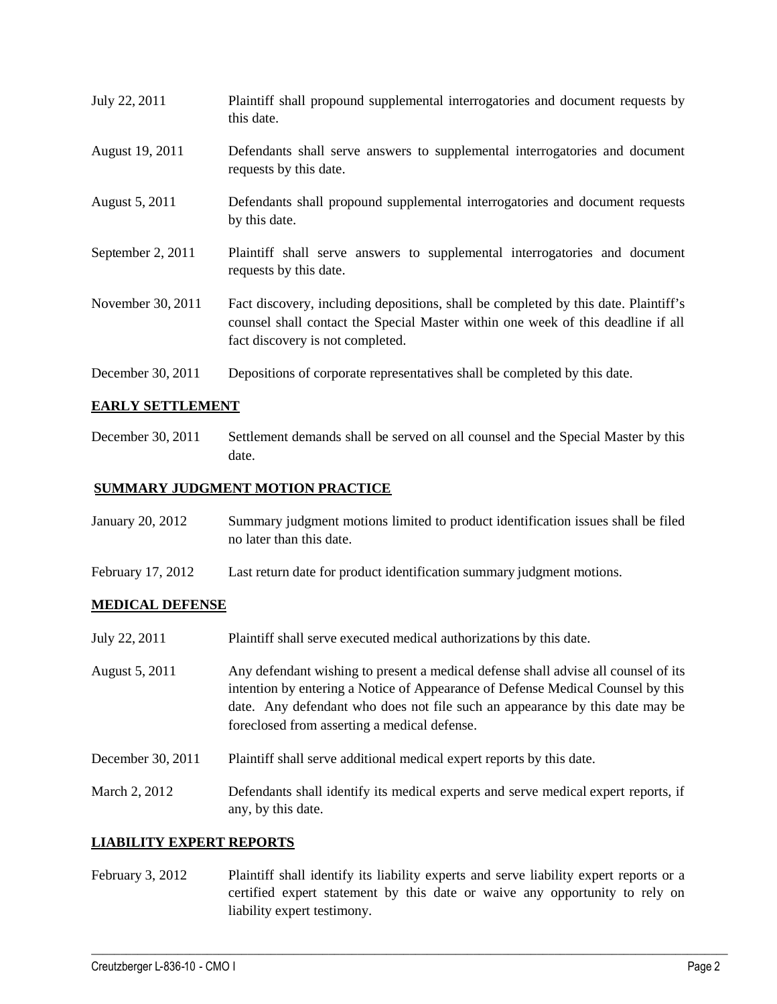July 22, 2011 Plaintiff shall propound supplemental interrogatories and document requests by this date. August 19, 2011 Defendants shall serve answers to supplemental interrogatories and document requests by this date. August 5, 2011 Defendants shall propound supplemental interrogatories and document requests by this date. September 2, 2011 Plaintiff shall serve answers to supplemental interrogatories and document requests by this date. November 30, 2011 Fact discovery, including depositions, shall be completed by this date. Plaintiff's counsel shall contact the Special Master within one week of this deadline if all fact discovery is not completed. December 30, 2011 Depositions of corporate representatives shall be completed by this date.

#### **EARLY SETTLEMENT**

December 30, 2011 Settlement demands shall be served on all counsel and the Special Master by this date.

### **SUMMARY JUDGMENT MOTION PRACTICE**

| January 20, 2012 | Summary judgment motions limited to product identification issues shall be filed |
|------------------|----------------------------------------------------------------------------------|
|                  | no later than this date.                                                         |

February 17, 2012 Last return date for product identification summary judgment motions.

#### **MEDICAL DEFENSE**

- July 22, 2011 Plaintiff shall serve executed medical authorizations by this date.
- August 5, 2011 Any defendant wishing to present a medical defense shall advise all counsel of its intention by entering a Notice of Appearance of Defense Medical Counsel by this date. Any defendant who does not file such an appearance by this date may be foreclosed from asserting a medical defense.
- December 30, 2011 Plaintiff shall serve additional medical expert reports by this date.
- March 2, 2012 Defendants shall identify its medical experts and serve medical expert reports, if any, by this date.

#### **LIABILITY EXPERT REPORTS**

February 3, 2012 Plaintiff shall identify its liability experts and serve liability expert reports or a certified expert statement by this date or waive any opportunity to rely on liability expert testimony.

 $\_$  ,  $\_$  ,  $\_$  ,  $\_$  ,  $\_$  ,  $\_$  ,  $\_$  ,  $\_$  ,  $\_$  ,  $\_$  ,  $\_$  ,  $\_$  ,  $\_$  ,  $\_$  ,  $\_$  ,  $\_$  ,  $\_$  ,  $\_$  ,  $\_$  ,  $\_$  ,  $\_$  ,  $\_$  ,  $\_$  ,  $\_$  ,  $\_$  ,  $\_$  ,  $\_$  ,  $\_$  ,  $\_$  ,  $\_$  ,  $\_$  ,  $\_$  ,  $\_$  ,  $\_$  ,  $\_$  ,  $\_$  ,  $\_$  ,